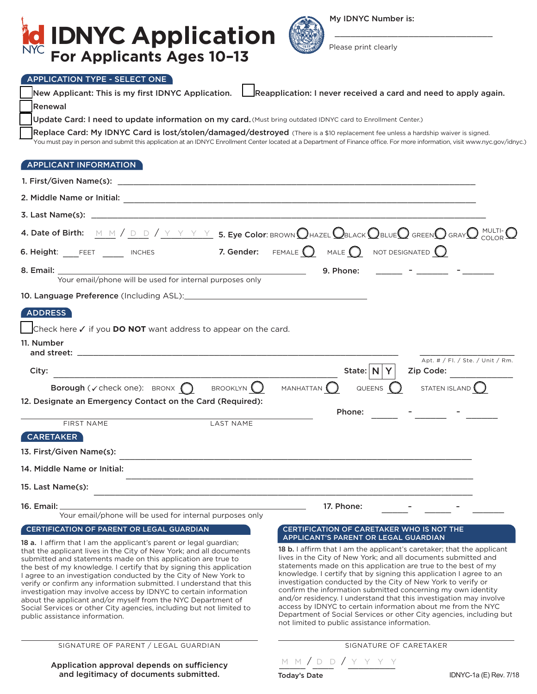

My IDNYC Number is:

\_\_\_\_\_\_\_\_\_\_\_\_\_\_\_\_\_\_\_\_\_\_\_\_\_\_\_\_\_\_

Please print clearly

# APPLICATION TYPE - SELECT ONE

|                                                                                                                                          | New Applicant: This is my first IDNYC Application.   Reapplication: I never received a card and need to apply again.                                                                 |
|------------------------------------------------------------------------------------------------------------------------------------------|--------------------------------------------------------------------------------------------------------------------------------------------------------------------------------------|
| Renewal                                                                                                                                  |                                                                                                                                                                                      |
| Update Card: I need to update information on my card. (Must bring outdated IDNYC card to Enrollment Center.)                             |                                                                                                                                                                                      |
| Replace Card: My IDNYC Card is lost/stolen/damaged/destroyed (There is a \$10 replacement fee unless a hardship waiver is signed.        | You must pay in person and submit this application at an IDNYC Enrollment Center located at a Department of Finance office. For more information, visit www.nyc.gov/idnyc.)          |
|                                                                                                                                          |                                                                                                                                                                                      |
| APPLICANT INFORMATION                                                                                                                    |                                                                                                                                                                                      |
|                                                                                                                                          |                                                                                                                                                                                      |
|                                                                                                                                          |                                                                                                                                                                                      |
|                                                                                                                                          |                                                                                                                                                                                      |
|                                                                                                                                          | 4. Date of Birth: $M M / D D / Y Y Y Y$ 5. Eye Color: BROWN $Q$ HAZEL $Q$ BLACK $Q$ BLUE $Q$ GREEN $Q$ GRAY $Q$ MULTI- $Q$                                                           |
| 6. Height: FEET $\Box$ Inches 7. Gender: FEMALE $\bigcirc$ MALE $\bigcirc$ NOT DESIGNATED $\bigcirc$                                     |                                                                                                                                                                                      |
|                                                                                                                                          | <u> 1999 - Jan Barbara (</u><br>9. Phone:                                                                                                                                            |
| Your email/phone will be used for internal purposes only                                                                                 |                                                                                                                                                                                      |
|                                                                                                                                          |                                                                                                                                                                                      |
| ADDRESS                                                                                                                                  |                                                                                                                                                                                      |
| Check here √ if you DO NOT want address to appear on the card.                                                                           |                                                                                                                                                                                      |
| 11. Number                                                                                                                               | Apt. # / Fl. / Ste. / Unit / Rm.                                                                                                                                                     |
| City:                                                                                                                                    | State: $\vert N \vert Y \vert$ Zip Code:                                                                                                                                             |
| <b>Borough</b> ( $\checkmark$ check one): BRONX $\bigcap$<br>BROOKLYN <sup>()</sup>                                                      | QUEENS $\bigcirc$ STATEN ISLAND $\bigcirc$<br>MANHATTAN $\bigcirc$                                                                                                                   |
| 12. Designate an Emergency Contact on the Card (Required):                                                                               |                                                                                                                                                                                      |
| FIRST NAME<br><b>LAST NAME</b>                                                                                                           | <u> The Common State Common State Common</u><br>Phone:                                                                                                                               |
| <b>CARETAKER</b>                                                                                                                         |                                                                                                                                                                                      |
| 13. First/Given Name(s):                                                                                                                 |                                                                                                                                                                                      |
| 14. Middle Name or Initial:                                                                                                              |                                                                                                                                                                                      |
|                                                                                                                                          |                                                                                                                                                                                      |
| 15. Last Name(s):                                                                                                                        |                                                                                                                                                                                      |
| 16. Email:<br>Your email/phone will be used for internal purposes only                                                                   | 17. Phone:                                                                                                                                                                           |
| CERTIFICATION OF PARENT OR LEGAL GUARDIAN                                                                                                | <b>CERTIFICATION OF CARETAKER WHO IS NOT THE</b>                                                                                                                                     |
| 18 a. I affirm that I am the applicant's parent or legal guardian;                                                                       | APPLICANT'S PARENT OR LEGAL GUARDIAN                                                                                                                                                 |
| that the applicant lives in the City of New York; and all documents<br>submitted and statements made on this application are true to     | 18 b. I affirm that I am the applicant's caretaker; that the applicant<br>lives in the City of New York; and all documents submitted and                                             |
| the best of my knowledge. I certify that by signing this application<br>I agree to an investigation conducted by the City of New York to | statements made on this application are true to the best of my<br>knowledge. I certify that by signing this application I agree to an                                                |
| verify or confirm any information submitted. I understand that this                                                                      | investigation conducted by the City of New York to verify or<br>confirm the information submitted concerning my own identity                                                         |
| investigation may involve access by IDNYC to certain information<br>about the applicant and/or myself from the NYC Department of         | and/or residency. I understand that this investigation may involve                                                                                                                   |
| Social Services or other City agencies, including but not limited to<br>public assistance information.                                   | access by IDNYC to certain information about me from the NYC<br>Department of Social Services or other City agencies, including but<br>not limited to public assistance information. |
| SIGNATURE OF PARENT / LEGAL GUARDIAN                                                                                                     | SIGNATURE OF CARETAKER                                                                                                                                                               |
| Application approval depends on sufficiency                                                                                              | M M / D D / Y Y Y Y                                                                                                                                                                  |

 $\blacksquare$  $\overline{\phantom{0}}$ 

Today's Date

<u>m m</u> / <u>D D</u> / <u>Y Y Y Y</u>

Application approval depends on sufficiency and legitimacy of documents submitted.

IDNYC-1a (E) Rev. 7/18